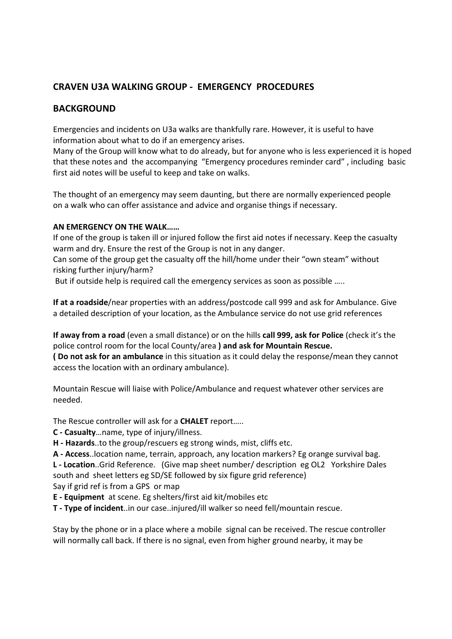## **CRAVEN U3A WALKING GROUP ‐ EMERGENCY PROCEDURES**

### **BACKGROUND**

Emergencies and incidents on U3a walks are thankfully rare. However, it is useful to have information about what to do if an emergency arises.

Many of the Group will know what to do already, but for anyone who is less experienced it is hoped that these notes and the accompanying "Emergency procedures reminder card" , including basic first aid notes will be useful to keep and take on walks.

The thought of an emergency may seem daunting, but there are normally experienced people on a walk who can offer assistance and advice and organise things if necessary.

#### **AN EMERGENCY ON THE WALK……**

If one of the group is taken ill or injured follow the first aid notes if necessary. Keep the casualty warm and dry. Ensure the rest of the Group is not in any danger.

Can some of the group get the casualty off the hill/home under their "own steam" without risking further injury/harm?

But if outside help is required call the emergency services as soon as possible …..

**If at a roadside**/near properties with an address/postcode call 999 and ask for Ambulance. Give a detailed description of your location, as the Ambulance service do not use grid references

**If away from a road** (even a small distance) or on the hills **call 999, ask for Police** (check it's the police control room for the local County/area **) and ask for Mountain Rescue. ( Do not ask for an ambulance** in this situation as it could delay the response/mean they cannot

access the location with an ordinary ambulance).

Mountain Rescue will liaise with Police/Ambulance and request whatever other services are needed.

The Rescue controller will ask for a **CHALET** report…..

**C ‐ Casualty**…name, type of injury/illness.

**H ‐ Hazards**..to the group/rescuers eg strong winds, mist, cliffs etc.

**A ‐ Access**..location name, terrain, approach, any location markers? Eg orange survival bag. **L ‐ Location**..Grid Reference. (Give map sheet number/ description eg OL2 Yorkshire Dales south and sheet letters eg SD/SE followed by six figure grid reference)

Say if grid ref is from a GPS or map

**E ‐ Equipment** at scene. Eg shelters/first aid kit/mobiles etc

**T ‐ Type of incident**..in our case..injured/ill walker so need fell/mountain rescue.

Stay by the phone or in a place where a mobile signal can be received. The rescue controller will normally call back. If there is no signal, even from higher ground nearby, it may be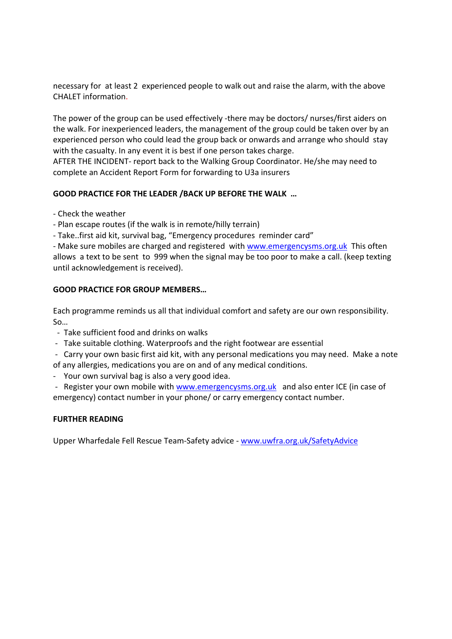necessary for at least 2 experienced people to walk out and raise the alarm, with the above CHALET information.

The power of the group can be used effectively -there may be doctors/ nurses/first aiders on the walk. For inexperienced leaders, the management of the group could be taken over by an experienced person who could lead the group back or onwards and arrange who should stay with the casualty. In any event it is best if one person takes charge.

AFTER THE INCIDENT‐ report back to the Walking Group Coordinator. He/she may need to complete an Accident Report Form for forwarding to U3a insurers

#### **GOOD PRACTICE FOR THE LEADER /BACK UP BEFORE THE WALK …**

- ‐ Check the weather
- ‐ Plan escape routes (if the walk is in remote/hilly terrain)
- ‐ Take..first aid kit, survival bag, "Emergency procedures reminder card"

- Make sure mobiles are charged and registered with www.emergencysms.org.uk This often allows a text to be sent to 999 when the signal may be too poor to make a call. (keep texting until acknowledgement is received).

#### **GOOD PRACTICE FOR GROUP MEMBERS…**

Each programme reminds us all that individual comfort and safety are our own responsibility. So…

- ‐ Take sufficient food and drinks on walks
- ‐ Take suitable clothing. Waterproofs and the right footwear are essential
- ‐ Carry your own basic first aid kit, with any personal medications you may need. Make a note of any allergies, medications you are on and of any medical conditions.
- ‐ Your own survival bag is also a very good idea.

- Register your own mobile with www.emergencysms.org.uk and also enter ICE (in case of emergency) contact number in your phone/ or carry emergency contact number.

#### **FURTHER READING**

Upper Wharfedale Fell Rescue Team‐Safety advice ‐ www.uwfra.org.uk/SafetyAdvice